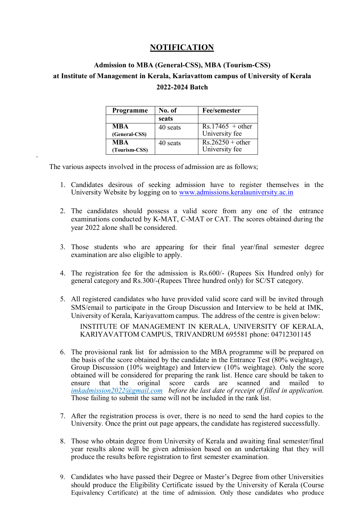## **NOTIFICATION**

# **Admission to MBA (General-CSS), MBA (Tourism-CSS) at Institute of Management in Kerala, Kariavattom campus of University of Kerala 2022-2024 Batch**

| Programme                   | No. of   | <b>Fee/semester</b>                  |  |
|-----------------------------|----------|--------------------------------------|--|
|                             | seats    |                                      |  |
| <b>MBA</b><br>(General-CSS) | 40 seats | $Rs.17465 + other$<br>University fee |  |
| <b>MBA</b><br>(Tourism-CSS) | 40 seats | $Rs.26250 + other$<br>University fee |  |

The various aspects involved in the process of admission are as follows;

**'**

- 1. Candidates desirous of seeking admission have to register themselves in the University Website by logging on to [www.admissions.keralauniversity.ac.in](http://www.admissions.keralauniversity.ac.in/)
- 2. The candidates should possess a valid score from any one of the entrance examinations conducted by K-MAT, C-MAT or CAT. The scores obtained during the year 2022 alone shall be considered.
- 3. Those students who are appearing for their final year/final semester degree examination are also eligible to apply.
- 4. The registration fee for the admission is Rs.600/- (Rupees Six Hundred only) for general category and Rs.300/-(Rupees Three hundred only) for SC/ST category.
- 5. All registered candidates who have provided valid score card will be invited through SMS/email to participate in the Group Discussion and Interview to be held at IMK, University of Kerala, Kariyavattom campus. The address of the centre is given below: INSTITUTE OF MANAGEMENT IN KERALA, UNIVERSITY OF KERALA, KARIYAVATTOM CAMPUS, TRIVANDRUM 695581 phone: 04712301145
- 6. The provisional rank list for admission to the MBA programme will be prepared on the basis of the score obtained by the candidate in the Entrance Test (80% weightage), Group Discussion (10% weightage) and Interview (10% weightage). Only the score obtained will be considered for preparing the rank list. Hence care should be taken to ensure that the original score cards are scanned and mailed to *imkadmission2022@gmail.com before the last date of receipt of filled in application.* Those failing to submit the same will not be included in the rank list.
- 7. After the registration process is over, there is no need to send the hard copies to the University. Once the print out page appears, the candidate has registered successfully.
- 8. Those who obtain degree from University of Kerala and awaiting final semester/final year results alone will be given admission based on an undertaking that they will produce the results before registration to first semester examination.
- 9. Candidates who have passed their Degree or Master's Degree from other Universities should produce the Eligibility Certificate issued by the University of Kerala (Course Equivalency Certificate) at the time of admission. Only those candidates who produce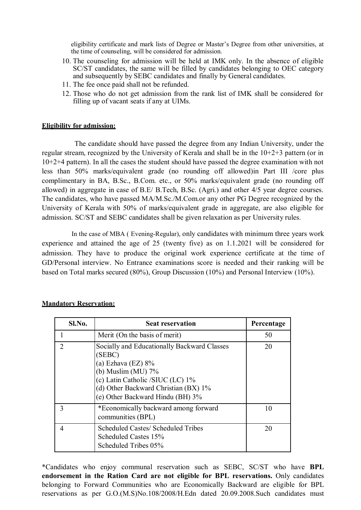eligibility certificate and mark lists of Degree or Master's Degree from other universities, at the time of counseling, will be considered for admission.

- 10. The counseling for admission will be held at IMK only. In the absence of eligible SC/ST candidates, the same will be filled by candidates belonging to OEC category and subsequently by SEBC candidates and finally by General candidates.
- 11. The fee once paid shall not be refunded.
- 12. Those who do not get admission from the rank list of IMK shall be considered for filling up of vacant seats if any at UIMs.

#### **Eligibility for admission:**

 The candidate should have passed the degree from any Indian University, under the regular stream, recognized by the University of Kerala and shall be in the 10+2+3 pattern (or in 10+2+4 pattern). In all the cases the student should have passed the degree examination with not less than 50% marks/equivalent grade (no rounding off allowed)in Part III /core plus complimentary in BA, B.Sc., B.Com. etc., or 50% marks/equivalent grade (no rounding off allowed) in aggregate in case of B.E/ B.Tech, B.Sc. (Agri.) and other 4/5 year degree courses. The candidates, who have passed MA/M.Sc./M.Com.or any other PG Degree recognized by the University of Kerala with 50% of marks/equivalent grade in aggregate, are also eligible for admission. SC/ST and SEBC candidates shall be given relaxation as per University rules.

In the case of MBA ( Evening-Regular), only candidates with minimum three years work experience and attained the age of 25 (twenty five) as on 1.1.2021 will be considered for admission. They have to produce the original work experience certificate at the time of GD/Personal interview. No Entrance examinations score is needed and their ranking will be based on Total marks secured (80%), Group Discussion (10%) and Personal Interview (10%).

| Sl.No.                      | <b>Seat reservation</b>                                                                                                                                                                                                 | Percentage |
|-----------------------------|-------------------------------------------------------------------------------------------------------------------------------------------------------------------------------------------------------------------------|------------|
|                             | Merit (On the basis of merit)                                                                                                                                                                                           | 50         |
| $\mathcal{D}_{\mathcal{A}}$ | Socially and Educationally Backward Classes<br>(SEBC)<br>(a) Ezhava (EZ) $8\%$<br>(b) Muslim (MU) $7\%$<br>(c) Latin Catholic /SIUC (LC) 1%<br>(d) Other Backward Christian (BX) 1%<br>(e) Other Backward Hindu (BH) 3% | 20         |
| 3                           | *Economically backward among forward<br>communities (BPL)                                                                                                                                                               | 10         |
| 4                           | Scheduled Castes/ Scheduled Tribes<br>Scheduled Castes 15%<br>Scheduled Tribes 05%                                                                                                                                      | 20         |

#### **Mandatory Reservation:**

\*Candidates who enjoy communal reservation such as SEBC, SC/ST who have **BPL endorsement in the Ration Card are not eligible for BPL reservations.** Only candidates belonging to Forward Communities who are Economically Backward are eligible for BPL reservations as per G.O.(M.S)No.108/2008/H.Edn dated 20.09.2008.Such candidates must